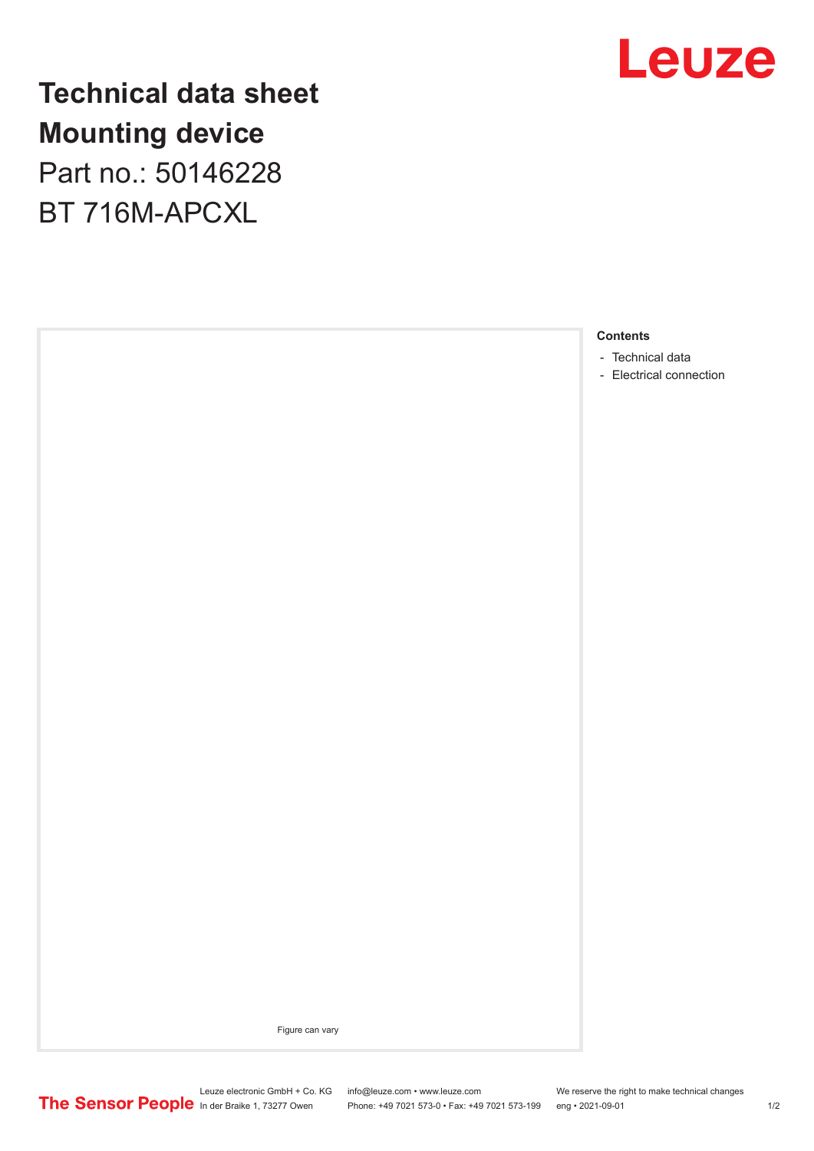

**Technical data sheet Mounting device** Part no.: 50146228 BT 716M-APCXL



- [Technical data](#page-1-0)
- [Electrical connection](#page-1-0)

Figure can vary

Leuze electronic GmbH + Co. KG info@leuze.com • www.leuze.com We reserve the right to make technical changes In der Braike 1, 73277 Owen Phone: +49 7021 573-0 • Fax: +49 7021 573-199 eng • 2021-09-01